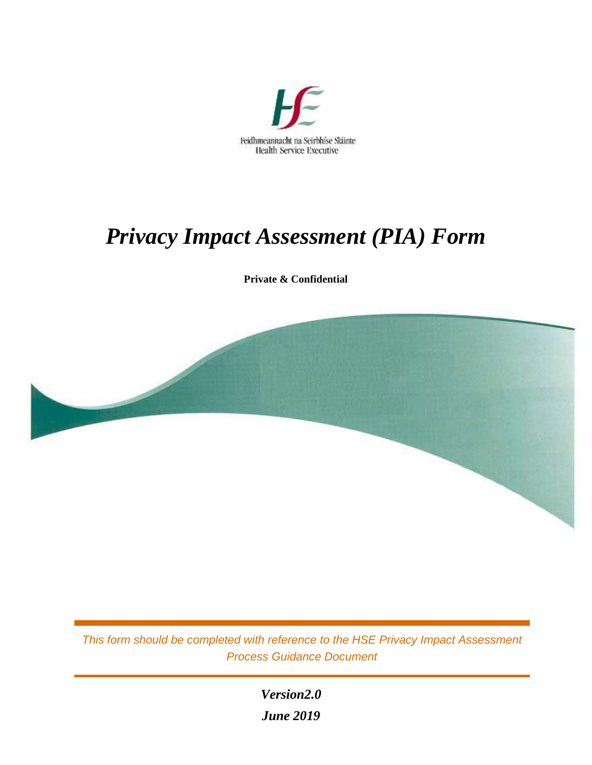

# *Privacy Impact Assessment (PIA) Form*

**Private & Confidential** 



*This form should be completed with reference to the HSE Privacy Impact Assessment Process Guidance Document*

> *Version2.0 June 2019*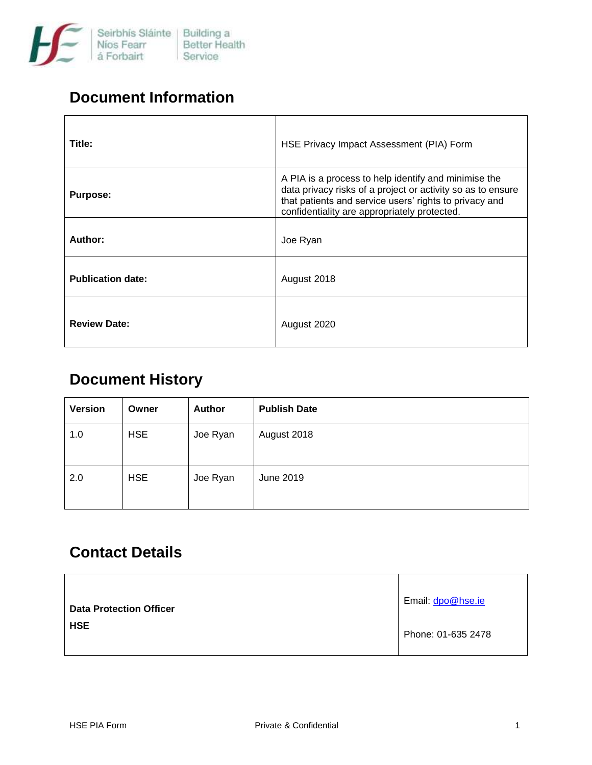

#### **Document Information**

| Title:                   | HSE Privacy Impact Assessment (PIA) Form                                                                                                                                                                                      |
|--------------------------|-------------------------------------------------------------------------------------------------------------------------------------------------------------------------------------------------------------------------------|
| <b>Purpose:</b>          | A PIA is a process to help identify and minimise the<br>data privacy risks of a project or activity so as to ensure<br>that patients and service users' rights to privacy and<br>confidentiality are appropriately protected. |
| Author:                  | Joe Ryan                                                                                                                                                                                                                      |
| <b>Publication date:</b> | August 2018                                                                                                                                                                                                                   |
| <b>Review Date:</b>      | August 2020                                                                                                                                                                                                                   |

## **Document History**

| <b>Version</b> | Owner      | <b>Author</b> | <b>Publish Date</b> |
|----------------|------------|---------------|---------------------|
| 1.0            | <b>HSE</b> | Joe Ryan      | August 2018         |
| 2.0            | <b>HSE</b> | Joe Ryan      | June 2019           |

## **Contact Details**

| <b>Data Protection Officer</b> | Email: dpo@hse.ie  |
|--------------------------------|--------------------|
| <b>HSE</b>                     | Phone: 01-635 2478 |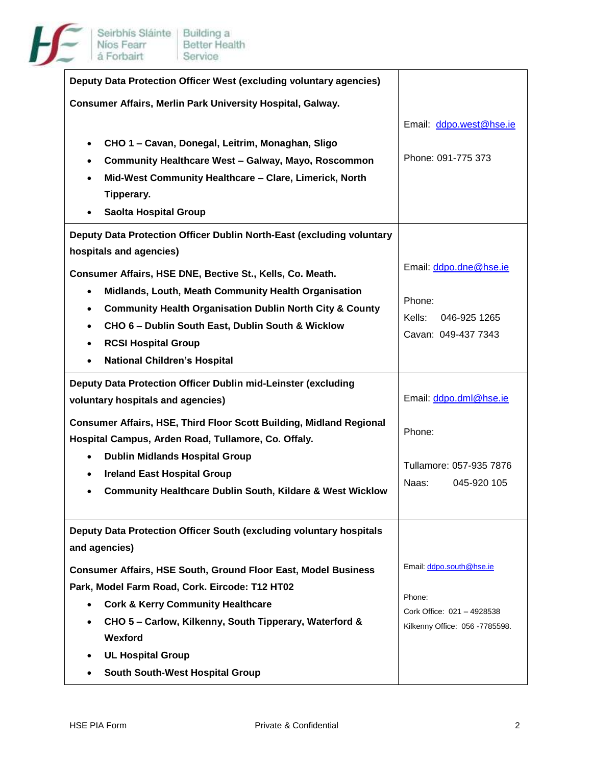

| Deputy Data Protection Officer West (excluding voluntary agencies)                |                                  |
|-----------------------------------------------------------------------------------|----------------------------------|
| Consumer Affairs, Merlin Park University Hospital, Galway.                        |                                  |
|                                                                                   | Email: ddpo.west@hse.ie          |
| CHO 1 - Cavan, Donegal, Leitrim, Monaghan, Sligo<br>$\bullet$                     |                                  |
| Community Healthcare West - Galway, Mayo, Roscommon<br>$\bullet$                  | Phone: 091-775 373               |
| Mid-West Community Healthcare - Clare, Limerick, North<br>$\bullet$               |                                  |
| Tipperary.                                                                        |                                  |
| <b>Saolta Hospital Group</b>                                                      |                                  |
| Deputy Data Protection Officer Dublin North-East (excluding voluntary             |                                  |
| hospitals and agencies)                                                           |                                  |
| Consumer Affairs, HSE DNE, Bective St., Kells, Co. Meath.                         | Email: ddpo.dne@hse.ie           |
| Midlands, Louth, Meath Community Health Organisation<br>$\bullet$                 |                                  |
| <b>Community Health Organisation Dublin North City &amp; County</b><br>$\bullet$  | Phone:<br>Kells:<br>046-925 1265 |
| CHO 6 - Dublin South East, Dublin South & Wicklow<br>$\bullet$                    | Cavan: 049-437 7343              |
| <b>RCSI Hospital Group</b><br>$\bullet$                                           |                                  |
| <b>National Children's Hospital</b><br>$\bullet$                                  |                                  |
| Deputy Data Protection Officer Dublin mid-Leinster (excluding                     |                                  |
| voluntary hospitals and agencies)                                                 | Email: ddpo.dml@hse.ie           |
| <b>Consumer Affairs, HSE, Third Floor Scott Building, Midland Regional</b>        |                                  |
| Hospital Campus, Arden Road, Tullamore, Co. Offaly.                               | Phone:                           |
| <b>Dublin Midlands Hospital Group</b><br>$\bullet$                                | Tullamore: 057-935 7876          |
| <b>Ireland East Hospital Group</b><br>$\bullet$                                   | Naas:<br>045-920 105             |
| <b>Community Healthcare Dublin South, Kildare &amp; West Wicklow</b><br>$\bullet$ |                                  |
|                                                                                   |                                  |
| Deputy Data Protection Officer South (excluding voluntary hospitals               |                                  |
| and agencies)                                                                     |                                  |
| <b>Consumer Affairs, HSE South, Ground Floor East, Model Business</b>             | Email: ddpo.south@hse.ie         |
| Park, Model Farm Road, Cork. Eircode: T12 HT02                                    | Phone:                           |
| <b>Cork &amp; Kerry Community Healthcare</b><br>$\bullet$                         | Cork Office: 021 - 4928538       |
| CHO 5 - Carlow, Kilkenny, South Tipperary, Waterford &                            | Kilkenny Office: 056 -7785598.   |
| Wexford                                                                           |                                  |
|                                                                                   |                                  |
| <b>UL Hospital Group</b><br>South South-West Hospital Group                       |                                  |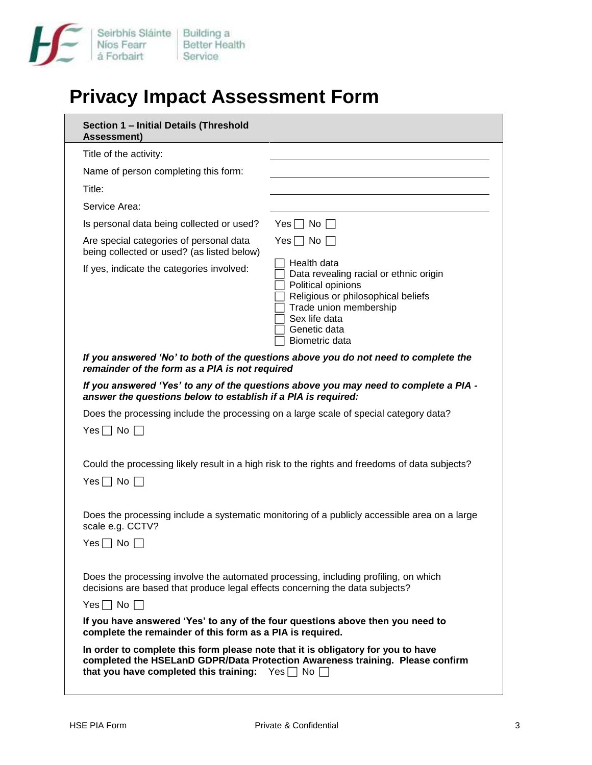

## **Privacy Impact Assessment Form**

| Section 1 - Initial Details (Threshold<br><b>Assessment)</b>                                                                                                                                |                                                                                                                                                                                                |
|---------------------------------------------------------------------------------------------------------------------------------------------------------------------------------------------|------------------------------------------------------------------------------------------------------------------------------------------------------------------------------------------------|
| Title of the activity:                                                                                                                                                                      |                                                                                                                                                                                                |
| Name of person completing this form:                                                                                                                                                        |                                                                                                                                                                                                |
| Title:                                                                                                                                                                                      |                                                                                                                                                                                                |
| Service Area:                                                                                                                                                                               |                                                                                                                                                                                                |
| Is personal data being collected or used?                                                                                                                                                   | $Yes \mid \text{No} \mid \text{ }$                                                                                                                                                             |
| Are special categories of personal data<br>being collected or used? (as listed below)                                                                                                       | Yes $\Box$ No $\Box$                                                                                                                                                                           |
| If yes, indicate the categories involved:                                                                                                                                                   | Health data<br>Data revealing racial or ethnic origin<br>Political opinions<br>Religious or philosophical beliefs<br>Trade union membership<br>Sex life data<br>Genetic data<br>Biometric data |
| remainder of the form as a PIA is not required                                                                                                                                              | If you answered 'No' to both of the questions above you do not need to complete the                                                                                                            |
| answer the questions below to establish if a PIA is required:                                                                                                                               | If you answered 'Yes' to any of the questions above you may need to complete a PIA -                                                                                                           |
| Does the processing include the processing on a large scale of special category data?                                                                                                       |                                                                                                                                                                                                |
| $Yes \sqcap No \top$                                                                                                                                                                        |                                                                                                                                                                                                |
|                                                                                                                                                                                             | Could the processing likely result in a high risk to the rights and freedoms of data subjects?                                                                                                 |
| Yes $\Box$ No $\Box$                                                                                                                                                                        |                                                                                                                                                                                                |
| scale e.g. CCTV?<br>No<br>Yes I                                                                                                                                                             | Does the processing include a systematic monitoring of a publicly accessible area on a large                                                                                                   |
| Does the processing involve the automated processing, including profiling, on which<br>decisions are based that produce legal effects concerning the data subjects?<br>Yes $\Box$ No $\Box$ |                                                                                                                                                                                                |
| If you have answered 'Yes' to any of the four questions above then you need to<br>complete the remainder of this form as a PIA is required.                                                 |                                                                                                                                                                                                |
| In order to complete this form please note that it is obligatory for you to have<br>that you have completed this training: $Yes \Box No \Box$                                               | completed the HSELanD GDPR/Data Protection Awareness training. Please confirm                                                                                                                  |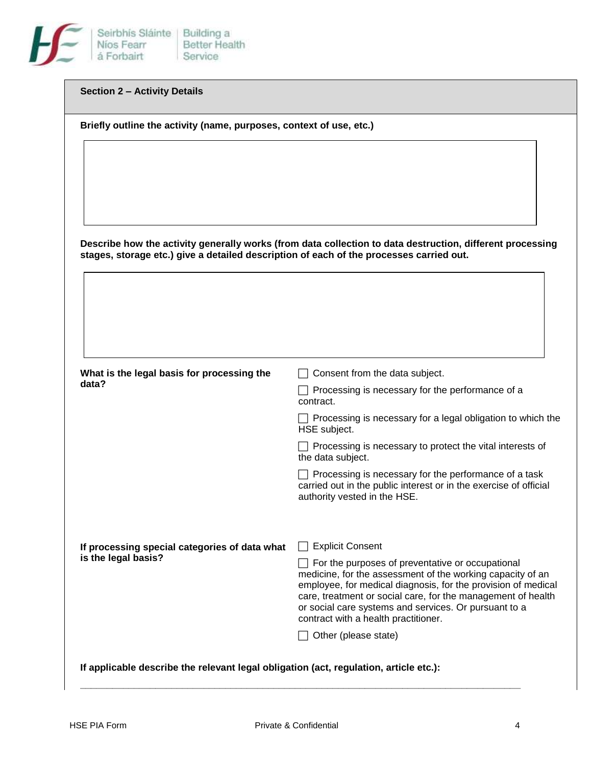

| <b>Section 2 - Activity Details</b> |  |
|-------------------------------------|--|
|-------------------------------------|--|

**Briefly outline the activity (name, purposes, context of use, etc.)**

**Describe how the activity generally works (from data collection to data destruction, different processing stages, storage etc.) give a detailed description of each of the processes carried out.**

| What is the legal basis for processing the                                            | Consent from the data subject.                                                                                                                                                                                                                                                                                                                   |
|---------------------------------------------------------------------------------------|--------------------------------------------------------------------------------------------------------------------------------------------------------------------------------------------------------------------------------------------------------------------------------------------------------------------------------------------------|
| data?                                                                                 | Processing is necessary for the performance of a<br>contract.                                                                                                                                                                                                                                                                                    |
|                                                                                       | Processing is necessary for a legal obligation to which the<br>HSE subject.                                                                                                                                                                                                                                                                      |
|                                                                                       | Processing is necessary to protect the vital interests of<br>the data subject.                                                                                                                                                                                                                                                                   |
|                                                                                       | Processing is necessary for the performance of a task<br>carried out in the public interest or in the exercise of official<br>authority vested in the HSE.                                                                                                                                                                                       |
|                                                                                       |                                                                                                                                                                                                                                                                                                                                                  |
| If processing special categories of data what                                         | <b>Explicit Consent</b>                                                                                                                                                                                                                                                                                                                          |
| is the legal basis?                                                                   | For the purposes of preventative or occupational<br>medicine, for the assessment of the working capacity of an<br>employee, for medical diagnosis, for the provision of medical<br>care, treatment or social care, for the management of health<br>or social care systems and services. Or pursuant to a<br>contract with a health practitioner. |
|                                                                                       | Other (please state)                                                                                                                                                                                                                                                                                                                             |
|                                                                                       |                                                                                                                                                                                                                                                                                                                                                  |
| If applicable describe the relevant legal obligation (act, regulation, article etc.): |                                                                                                                                                                                                                                                                                                                                                  |

**\_\_\_\_\_\_\_\_\_\_\_\_\_\_\_\_\_\_\_\_\_\_\_\_\_\_\_\_\_\_\_\_\_\_\_\_\_\_\_\_\_\_\_\_\_\_\_\_\_\_\_\_\_\_\_\_\_\_\_\_\_\_\_\_\_\_\_\_\_\_\_\_\_\_\_\_\_\_\_\_\_\_**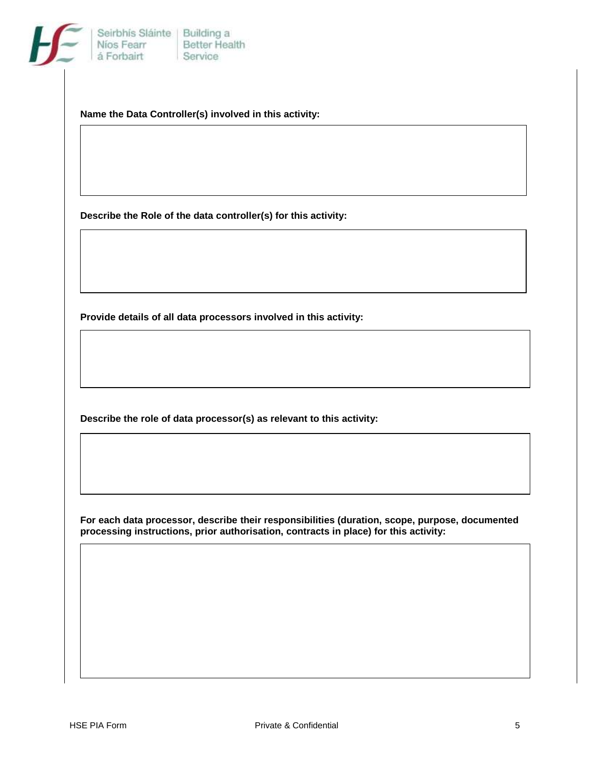

**Name the Data Controller(s) involved in this activity:**

**Describe the Role of the data controller(s) for this activity:**

**Provide details of all data processors involved in this activity:**

**Describe the role of data processor(s) as relevant to this activity:**

**For each data processor, describe their responsibilities (duration, scope, purpose, documented processing instructions, prior authorisation, contracts in place) for this activity:**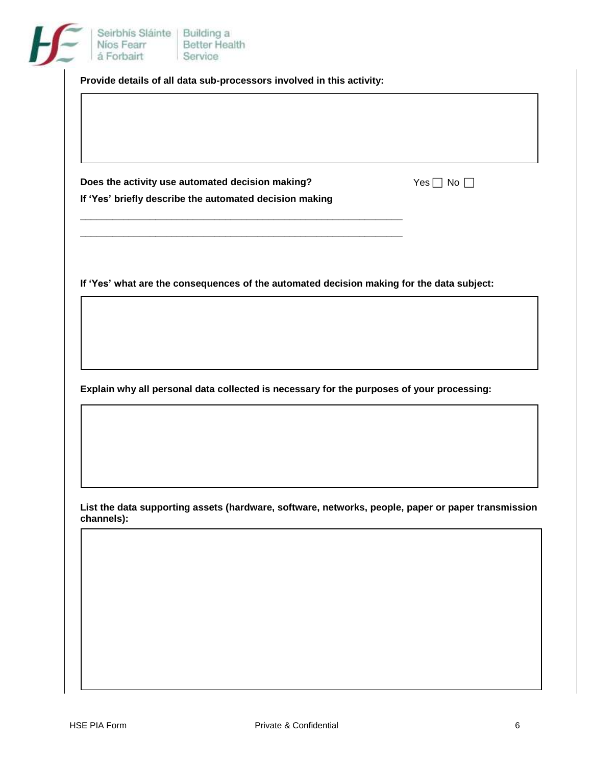|            | Does the activity use automated decision making?                                                   | Yes $\Box$ No $\Box$ |
|------------|----------------------------------------------------------------------------------------------------|----------------------|
|            | If 'Yes' briefly describe the automated decision making                                            |                      |
|            |                                                                                                    |                      |
|            |                                                                                                    |                      |
|            | If 'Yes' what are the consequences of the automated decision making for the data subject:          |                      |
|            |                                                                                                    |                      |
|            |                                                                                                    |                      |
|            |                                                                                                    |                      |
|            | Explain why all personal data collected is necessary for the purposes of your processing:          |                      |
|            |                                                                                                    |                      |
|            |                                                                                                    |                      |
|            |                                                                                                    |                      |
|            |                                                                                                    |                      |
|            | List the data supporting assets (hardware, software, networks, people, paper or paper transmission |                      |
| channels): |                                                                                                    |                      |
|            |                                                                                                    |                      |
|            |                                                                                                    |                      |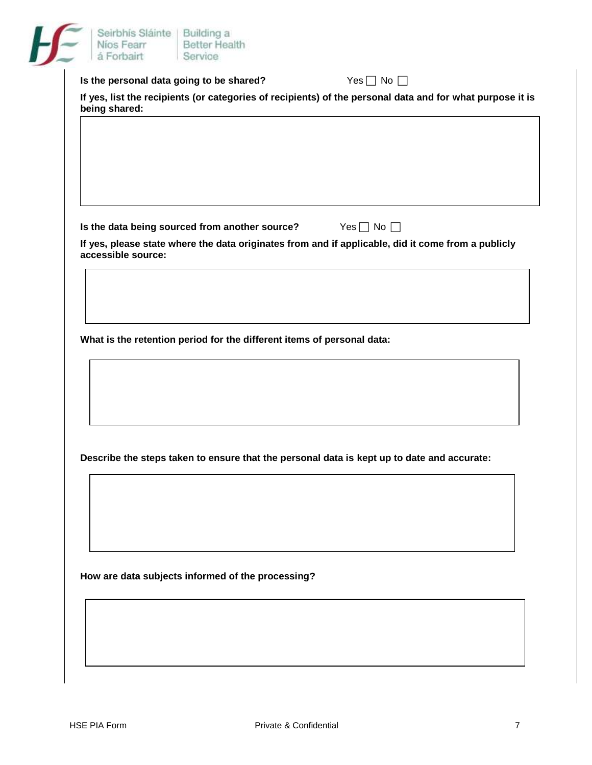|                    | Is the personal data going to be shared?                                                   |  | Yes $\Box$ No $\Box$ |                                                                                                           |
|--------------------|--------------------------------------------------------------------------------------------|--|----------------------|-----------------------------------------------------------------------------------------------------------|
| being shared:      |                                                                                            |  |                      | If yes, list the recipients (or categories of recipients) of the personal data and for what purpose it is |
|                    |                                                                                            |  |                      |                                                                                                           |
|                    |                                                                                            |  |                      |                                                                                                           |
|                    |                                                                                            |  |                      |                                                                                                           |
|                    |                                                                                            |  |                      |                                                                                                           |
|                    |                                                                                            |  |                      |                                                                                                           |
|                    | Is the data being sourced from another source?                                             |  | Yes $\Box$ No $\Box$ |                                                                                                           |
|                    |                                                                                            |  |                      | If yes, please state where the data originates from and if applicable, did it come from a publicly        |
| accessible source: |                                                                                            |  |                      |                                                                                                           |
|                    |                                                                                            |  |                      |                                                                                                           |
|                    |                                                                                            |  |                      |                                                                                                           |
|                    |                                                                                            |  |                      |                                                                                                           |
|                    | What is the retention period for the different items of personal data:                     |  |                      |                                                                                                           |
|                    |                                                                                            |  |                      |                                                                                                           |
|                    |                                                                                            |  |                      |                                                                                                           |
|                    |                                                                                            |  |                      |                                                                                                           |
|                    |                                                                                            |  |                      |                                                                                                           |
|                    |                                                                                            |  |                      |                                                                                                           |
|                    |                                                                                            |  |                      |                                                                                                           |
|                    |                                                                                            |  |                      |                                                                                                           |
|                    | Describe the steps taken to ensure that the personal data is kept up to date and accurate: |  |                      |                                                                                                           |
|                    |                                                                                            |  |                      |                                                                                                           |
|                    |                                                                                            |  |                      |                                                                                                           |
|                    |                                                                                            |  |                      |                                                                                                           |
|                    |                                                                                            |  |                      |                                                                                                           |
|                    |                                                                                            |  |                      |                                                                                                           |
|                    | How are data subjects informed of the processing?                                          |  |                      |                                                                                                           |
|                    |                                                                                            |  |                      |                                                                                                           |
|                    |                                                                                            |  |                      |                                                                                                           |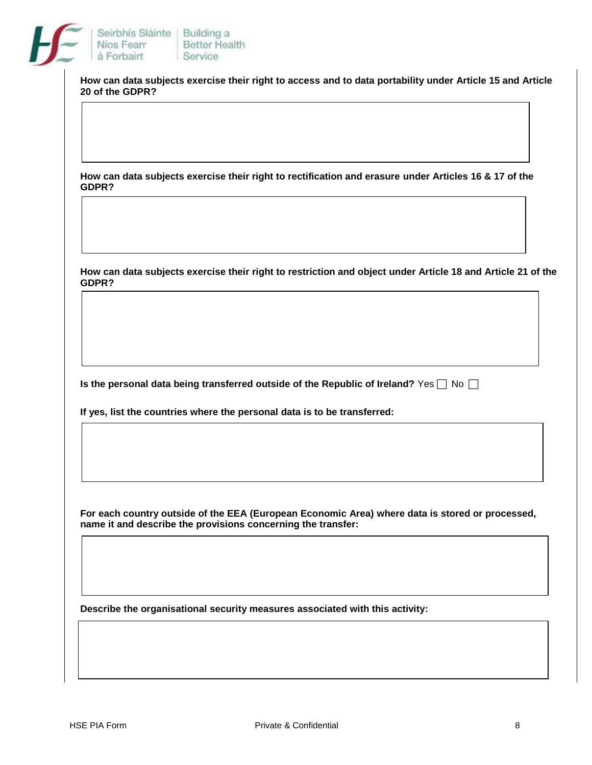

**How can data subjects exercise their right to access and to data portability under Article 15 and Article 20 of the GDPR?**

**How can data subjects exercise their right to rectification and erasure under Articles 16 & 17 of the GDPR?**

**How can data subjects exercise their right to restriction and object under Article 18 and Article 21 of the GDPR?**

**Is the personal data being transferred outside of the Republic of Ireland?** Yes  $\Box$  No  $\Box$ 

**If yes, list the countries where the personal data is to be transferred:**

**For each country outside of the EEA (European Economic Area) where data is stored or processed, name it and describe the provisions concerning the transfer:**

**Describe the organisational security measures associated with this activity:**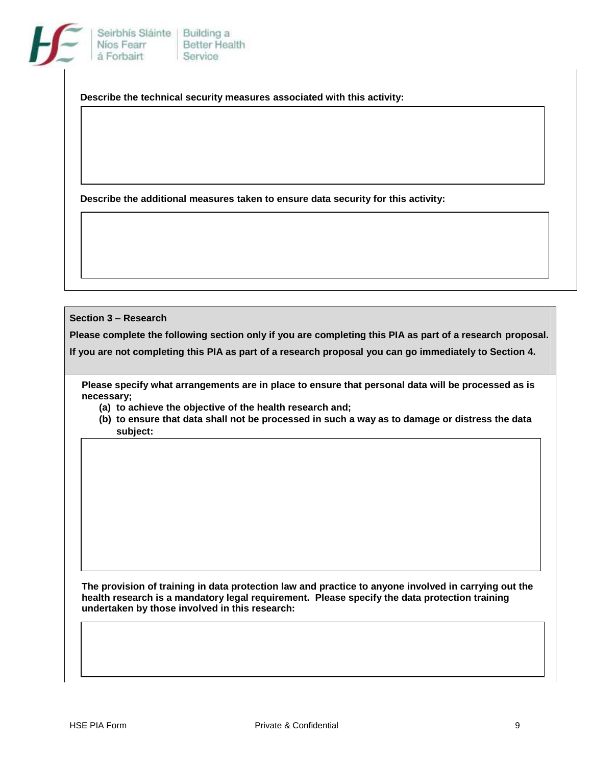|  | Seirbhís Sláinte   Building a<br>Níos Fearr<br>á Forbairt | <b>Better Health</b><br>Service |
|--|-----------------------------------------------------------|---------------------------------|
|--|-----------------------------------------------------------|---------------------------------|

**Describe the technical security measures associated with this activity:**

**Describe the additional measures taken to ensure data security for this activity:**

**Section 3 – Research**

**Please complete the following section only if you are completing this PIA as part of a research proposal.**

**If you are not completing this PIA as part of a research proposal you can go immediately to Section 4.**

 **Please specify what arrangements are in place to ensure that personal data will be processed as is necessary;**

**(a) to achieve the objective of the health research and;**

**(b) to ensure that data shall not be processed in such a way as to damage or distress the data subject:**

**The provision of training in data protection law and practice to anyone involved in carrying out the health research is a mandatory legal requirement. Please specify the data protection training undertaken by those involved in this research:**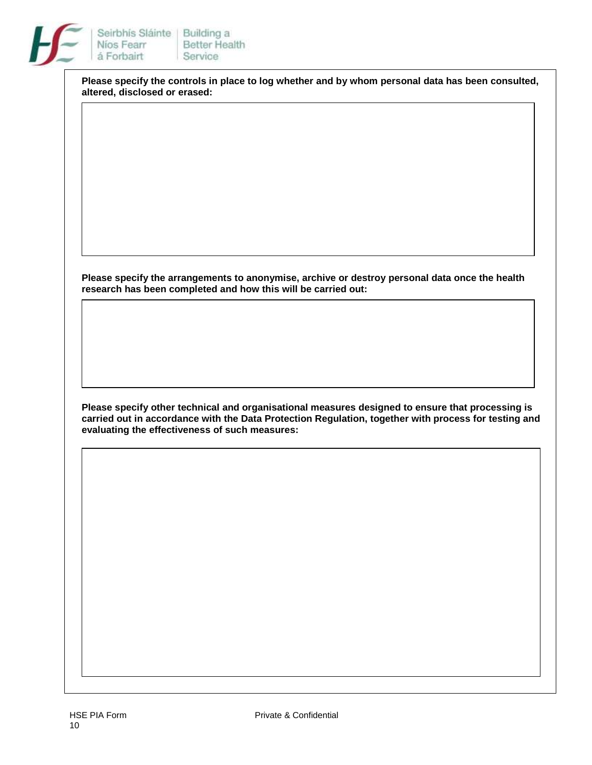

**Please specify the controls in place to log whether and by whom personal data has been consulted, altered, disclosed or erased:**

**Please specify the arrangements to anonymise, archive or destroy personal data once the health research has been completed and how this will be carried out:**

**Please specify other technical and organisational measures designed to ensure that processing is carried out in accordance with the Data Protection Regulation, together with process for testing and evaluating the effectiveness of such measures:**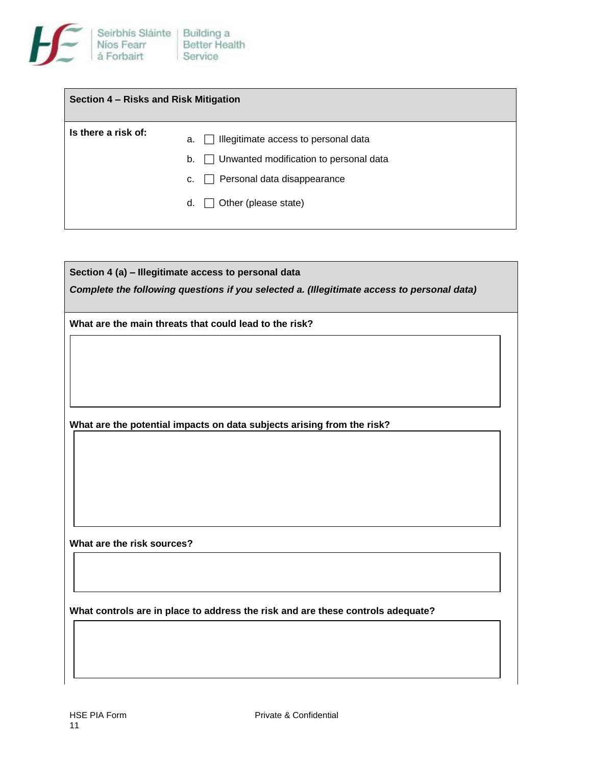

| Section 4 – Risks and Risk Mitigation |                                                                                                                                                                      |
|---------------------------------------|----------------------------------------------------------------------------------------------------------------------------------------------------------------------|
| Is there a risk of:                   | Illegitimate access to personal data<br>а.<br>$\Box$ Unwanted modification to personal data<br>b.<br>Personal data disappearance<br>c.<br>Other (please state)<br>d. |

| Section 4 (a) - Illegitimate access to personal data                                       |  |
|--------------------------------------------------------------------------------------------|--|
| Complete the following questions if you selected a. (Illegitimate access to personal data) |  |
| What are the main threats that could lead to the risk?                                     |  |
|                                                                                            |  |
|                                                                                            |  |
|                                                                                            |  |
| What are the potential impacts on data subjects arising from the risk?                     |  |
|                                                                                            |  |
|                                                                                            |  |
|                                                                                            |  |
|                                                                                            |  |
| What are the risk sources?                                                                 |  |
|                                                                                            |  |
|                                                                                            |  |
| What controls are in place to address the risk and are these controls adequate?            |  |
|                                                                                            |  |
|                                                                                            |  |
|                                                                                            |  |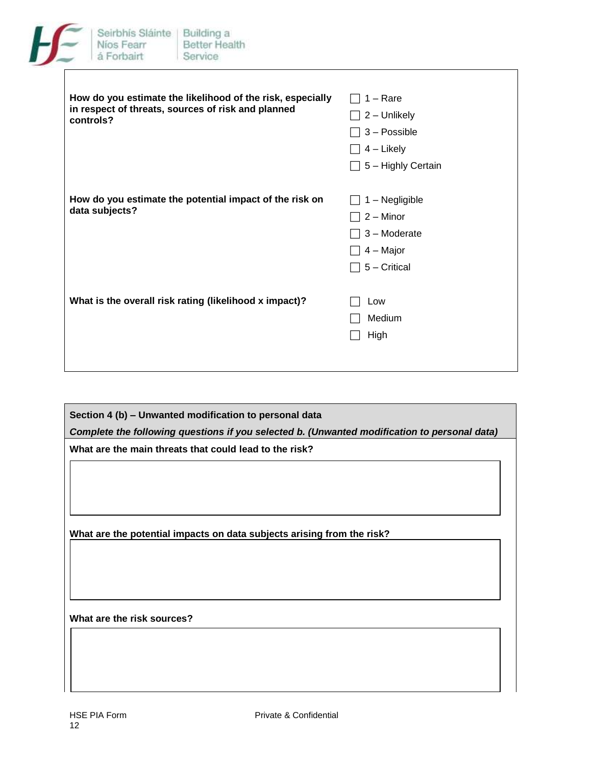| eirbh     |
|-----------|
| 1 cos 1   |
| orb<br>-- |

| How do you estimate the likelihood of the risk, especially<br>in respect of threats, sources of risk and planned<br>controls? | $1 - \text{Rare}$<br>2 - Unlikely<br>3 - Possible<br>4 – Likely<br>5 - Highly Certain |
|-------------------------------------------------------------------------------------------------------------------------------|---------------------------------------------------------------------------------------|
| How do you estimate the potential impact of the risk on<br>data subjects?                                                     | 1 - Negligible<br>$2 -$ Minor<br>3 - Moderate<br>4 – Major<br>5 - Critical            |
| What is the overall risk rating (likelihood x impact)?                                                                        | Low<br>Medium<br>High                                                                 |

**Section 4 (b) – Unwanted modification to personal data** *Complete the following questions if you selected b. (Unwanted modification to personal data)* **What are the main threats that could lead to the risk?**

**What are the potential impacts on data subjects arising from the risk?**

**What are the risk sources?**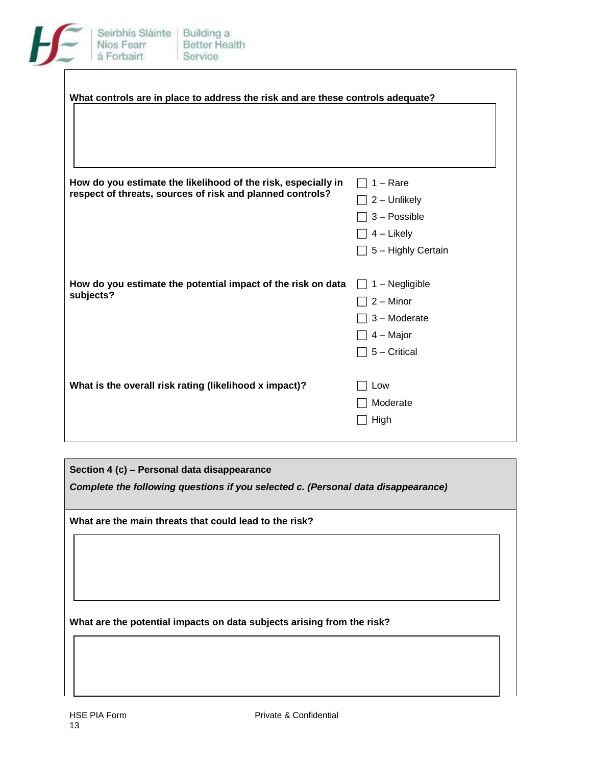

| What controls are in place to address the risk and are these controls adequate?                                            |                                                                                         |
|----------------------------------------------------------------------------------------------------------------------------|-----------------------------------------------------------------------------------------|
| How do you estimate the likelihood of the risk, especially in<br>respect of threats, sources of risk and planned controls? | $1 - \text{Rare}$<br>2 - Unlikely<br>3 - Possible<br>$4$ – Likely<br>5 - Highly Certain |
| How do you estimate the potential impact of the risk on data<br>subjects?                                                  | $1 - Negligible$<br>$2 -$ Minor<br>3 - Moderate<br>$4 -$ Major<br>5 - Critical          |
| What is the overall risk rating (likelihood x impact)?                                                                     | Low<br>Moderate<br>High                                                                 |

**Section 4 (c) – Personal data disappearance**

*Complete the following questions if you selected c. (Personal data disappearance)* 

**What are the main threats that could lead to the risk?**

**What are the potential impacts on data subjects arising from the risk?**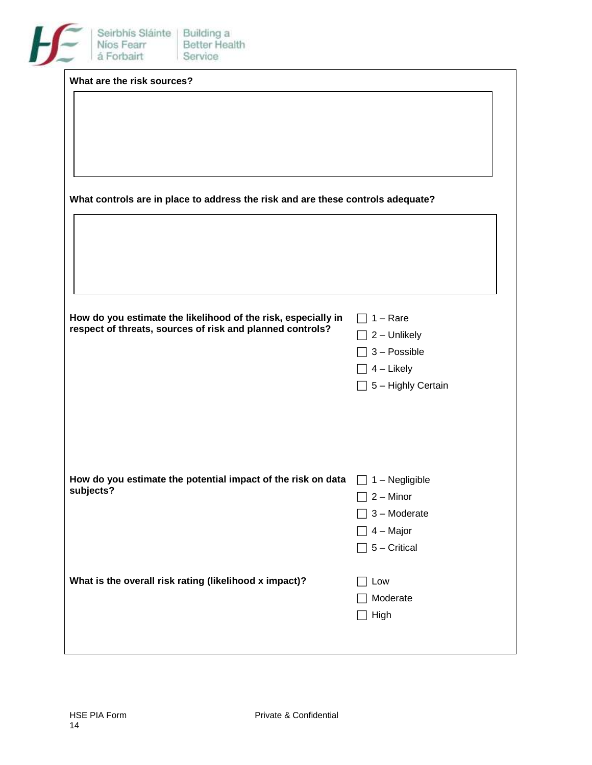|           | What are the risk sources? |                                                                                 |                           |
|-----------|----------------------------|---------------------------------------------------------------------------------|---------------------------|
|           |                            |                                                                                 |                           |
|           |                            |                                                                                 |                           |
|           |                            |                                                                                 |                           |
|           |                            |                                                                                 |                           |
|           |                            |                                                                                 |                           |
|           |                            | What controls are in place to address the risk and are these controls adequate? |                           |
|           |                            |                                                                                 |                           |
|           |                            |                                                                                 |                           |
|           |                            |                                                                                 |                           |
|           |                            |                                                                                 |                           |
|           |                            |                                                                                 |                           |
|           |                            | How do you estimate the likelihood of the risk, especially in                   | $1 - \text{Rare}$         |
|           |                            | respect of threats, sources of risk and planned controls?                       | 2 - Unlikely              |
|           |                            |                                                                                 | 3 - Possible              |
|           |                            |                                                                                 | $4$ – Likely              |
|           |                            |                                                                                 | $\Box$ 5 - Highly Certain |
|           |                            |                                                                                 |                           |
|           |                            |                                                                                 |                           |
|           |                            |                                                                                 |                           |
|           |                            |                                                                                 |                           |
|           |                            | How do you estimate the potential impact of the risk on data                    | $\Box$ 1 – Negligible     |
| subjects? |                            |                                                                                 | $\Box$ 2 – Minor          |
|           |                            |                                                                                 | 3 - Moderate              |
|           |                            |                                                                                 | $\Box$ 4 – Major          |
|           |                            |                                                                                 | $\Box$ 5 – Critical       |
|           |                            |                                                                                 |                           |
|           |                            | What is the overall risk rating (likelihood x impact)?                          | Low                       |
|           |                            |                                                                                 | Moderate                  |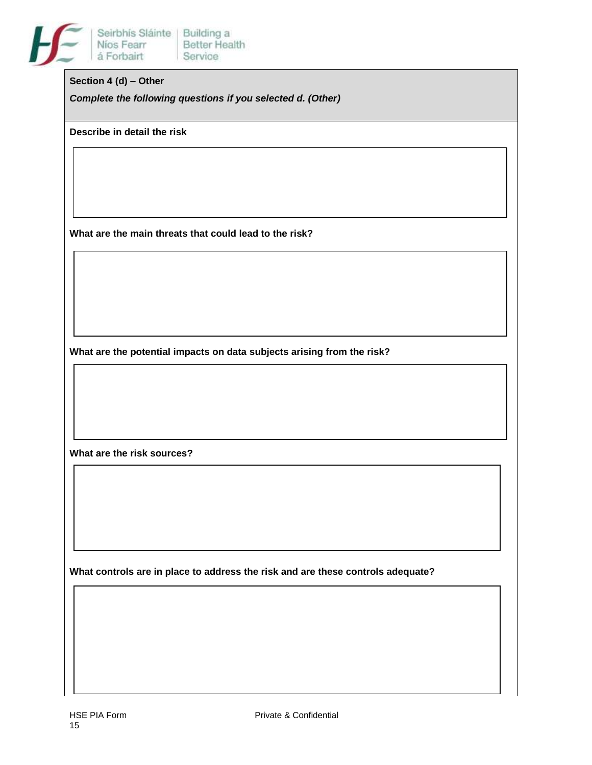

#### **Section 4 (d) – Other**

*Complete the following questions if you selected d. (Other)*

**Describe in detail the risk**

**What are the main threats that could lead to the risk?**

**What are the potential impacts on data subjects arising from the risk?**

**What are the risk sources?**

**What controls are in place to address the risk and are these controls adequate?**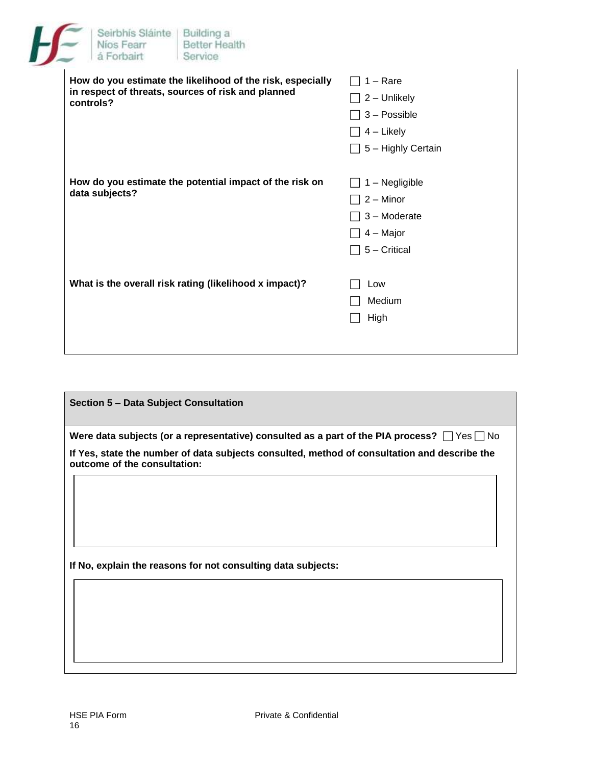| Seirbhís Sláinte   Building a<br>Níos Fearr<br>á Forbairt | Better Health<br>Service                                                                                         |                                                                                                |
|-----------------------------------------------------------|------------------------------------------------------------------------------------------------------------------|------------------------------------------------------------------------------------------------|
| controls?                                                 | How do you estimate the likelihood of the risk, especially<br>in respect of threats, sources of risk and planned | $1 - \text{Rare}$<br>2 - Unlikely<br>3 - Possible<br>$4$ – Likely<br>$\Box$ 5 – Highly Certain |
| data subjects?                                            | How do you estimate the potential impact of the risk on                                                          | 1 - Negligible<br>$2 -$ Minor<br>3 - Moderate<br>$4 -$ Major<br>5 - Critical                   |
|                                                           | What is the overall risk rating (likelihood x impact)?                                                           | Low<br>Medium<br>High                                                                          |

| Section 5 - Data Subject Consultation                                                                                        |
|------------------------------------------------------------------------------------------------------------------------------|
| Were data subjects (or a representative) consulted as a part of the PIA process? $\Box$ Yes $\Box$ No                        |
| If Yes, state the number of data subjects consulted, method of consultation and describe the<br>outcome of the consultation: |
|                                                                                                                              |
|                                                                                                                              |
|                                                                                                                              |
| If No, explain the reasons for not consulting data subjects:                                                                 |
|                                                                                                                              |
|                                                                                                                              |
|                                                                                                                              |
|                                                                                                                              |
|                                                                                                                              |